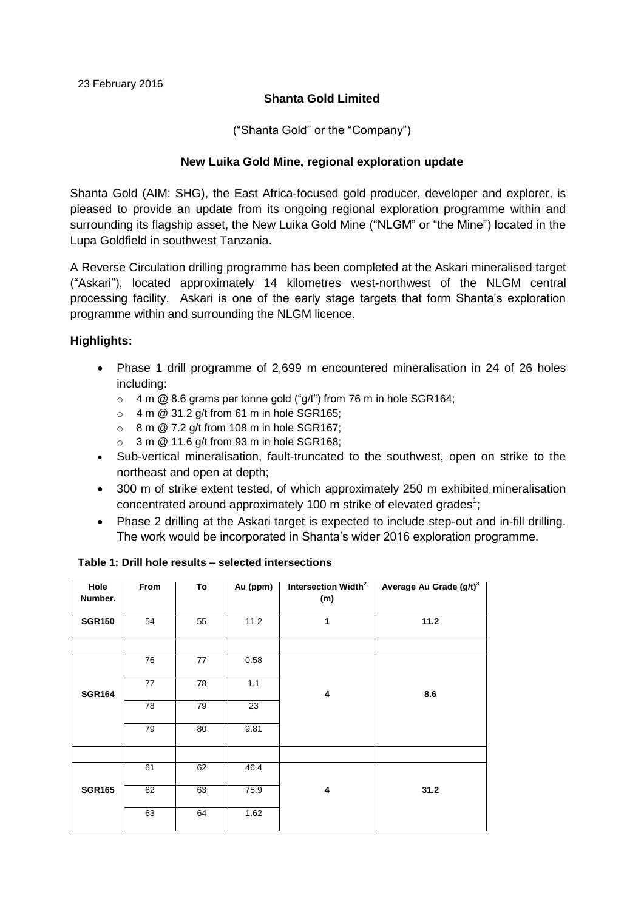# **Shanta Gold Limited**

("Shanta Gold" or the "Company")

# **New Luika Gold Mine, regional exploration update**

Shanta Gold (AIM: SHG), the East Africa-focused gold producer, developer and explorer, is pleased to provide an update from its ongoing regional exploration programme within and surrounding its flagship asset, the New Luika Gold Mine ("NLGM" or "the Mine") located in the Lupa Goldfield in southwest Tanzania.

A Reverse Circulation drilling programme has been completed at the Askari mineralised target ("Askari"), located approximately 14 kilometres west-northwest of the NLGM central processing facility. Askari is one of the early stage targets that form Shanta's exploration programme within and surrounding the NLGM licence.

# **Highlights:**

- Phase 1 drill programme of 2,699 m encountered mineralisation in 24 of 26 holes including:
	- $\circ$  4 m @ 8.6 grams per tonne gold ("g/t") from 76 m in hole SGR164;
	- $\circ$  4 m @ 31.2 g/t from 61 m in hole SGR165;
	- $\circ$  8 m  $\omega$  7.2 g/t from 108 m in hole SGR167:
	- $\circ$  3 m @ 11.6 g/t from 93 m in hole SGR168;
- Sub-vertical mineralisation, fault-truncated to the southwest, open on strike to the northeast and open at depth;
- 300 m of strike extent tested, of which approximately 250 m exhibited mineralisation concentrated around approximately 100 m strike of elevated grades<sup>1</sup>;
- Phase 2 drilling at the Askari target is expected to include step-out and in-fill drilling. The work would be incorporated in Shanta's wider 2016 exploration programme.

| Hole<br>Number. | From | To              | Au (ppm) | Intersection Width <sup>2</sup><br>(m) | Average Au Grade (g/t) <sup>3</sup> |
|-----------------|------|-----------------|----------|----------------------------------------|-------------------------------------|
| <b>SGR150</b>   | 54   | 55              | 11.2     | 1                                      | 11.2                                |
|                 |      |                 |          |                                        |                                     |
|                 | 76   | $\overline{77}$ | 0.58     | 4                                      | 8.6                                 |
| <b>SGR164</b>   | 77   | 78              | 1.1      |                                        |                                     |
|                 | 78   | 79              | 23       |                                        |                                     |
|                 | 79   | 80              | 9.81     |                                        |                                     |
|                 |      |                 |          |                                        |                                     |
|                 | 61   | 62              | 46.4     | 4                                      | 31.2                                |
| <b>SGR165</b>   | 62   | 63              | 75.9     |                                        |                                     |
|                 | 63   | 64              | 1.62     |                                        |                                     |

#### **Table 1: Drill hole results – selected intersections**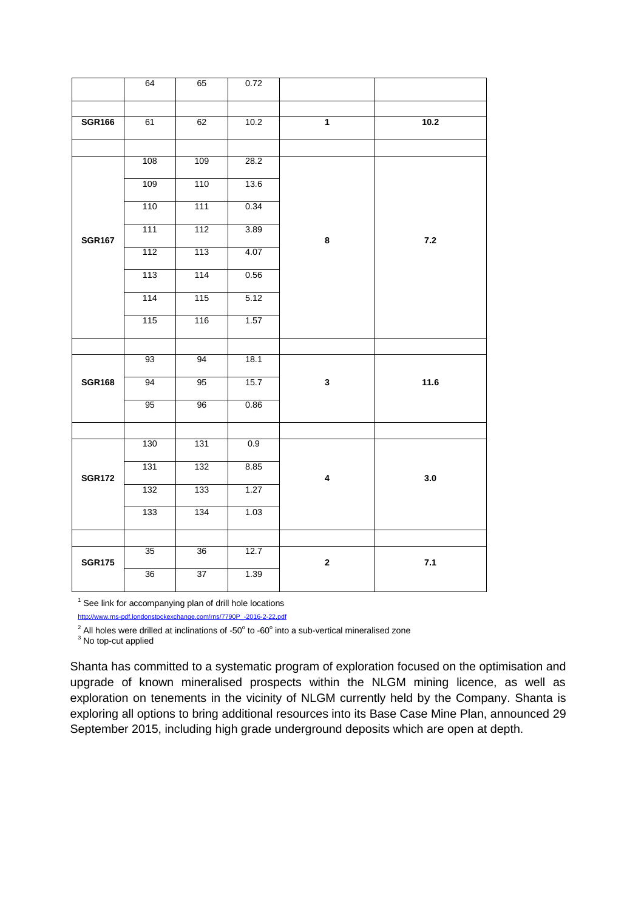|               | 64  | 65  | 0.72 |                         |       |
|---------------|-----|-----|------|-------------------------|-------|
|               |     |     |      |                         |       |
| <b>SGR166</b> | 61  | 62  | 10.2 | $\overline{1}$          | 10.2  |
|               |     |     |      |                         |       |
|               | 108 | 109 | 28.2 |                         |       |
|               | 109 | 110 | 13.6 |                         |       |
|               | 110 | 111 | 0.34 |                         |       |
| <b>SGR167</b> | 111 | 112 | 3.89 | 8                       | $7.2$ |
|               | 112 | 113 | 4.07 |                         |       |
|               | 113 | 114 | 0.56 |                         |       |
|               | 114 | 115 | 5.12 |                         |       |
|               | 115 | 116 | 1.57 |                         |       |
|               |     |     |      |                         |       |
|               | 93  | 94  | 18.1 | $\mathbf{3}$            | 11.6  |
| <b>SGR168</b> | 94  | 95  | 15.7 |                         |       |
|               | 95  | 96  | 0.86 |                         |       |
|               |     |     |      |                         |       |
|               | 130 | 131 | 0.9  | $\overline{\mathbf{4}}$ |       |
| <b>SGR172</b> | 131 | 132 | 8.85 |                         | 3.0   |
|               | 132 | 133 | 1.27 |                         |       |
|               | 133 | 134 | 1.03 |                         |       |
|               |     |     |      |                         |       |
| <b>SGR175</b> | 35  | 36  | 12.7 | $\mathbf 2$             | 7.1   |
|               | 36  | 37  | 1.39 |                         |       |
|               |     |     |      |                         |       |

<sup>1</sup> See link for accompanying plan of drill hole locations [http://www.rns-pdf.londonstockexchange.com/rns/7790P\\_-2016-2-22.pdf](http://www.rns-pdf.londonstockexchange.com/rns/7790P_-2016-2-22.pdf)

All holes were drilled at inclinations of -50 $^{\circ}$  to -60 $^{\circ}$  into a sub-vertical mineralised zone

<sup>3</sup> No top-cut applied

Shanta has committed to a systematic program of exploration focused on the optimisation and upgrade of known mineralised prospects within the NLGM mining licence, as well as exploration on tenements in the vicinity of NLGM currently held by the Company. Shanta is exploring all options to bring additional resources into its Base Case Mine Plan, announced 29 September 2015, including high grade underground deposits which are open at depth.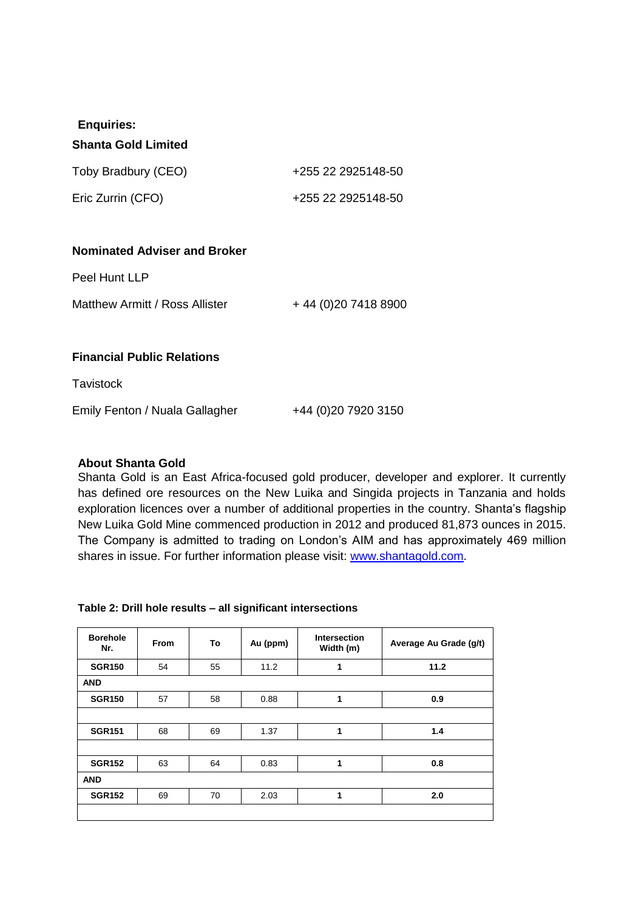# **Enquiries:**

#### **Shanta Gold Limited**

| Toby Bradbury (CEO) | +255 22 2925148-50 |
|---------------------|--------------------|
| Eric Zurrin (CFO)   | +255 22 2925148-50 |

### **Nominated Adviser and Broker**

Peel Hunt LLP

Matthew Armitt / Ross Allister  $+44(0)2074188900$ 

### **Financial Public Relations**

**Tavistock** 

Emily Fenton / Nuala Gallagher  $+44$  (0)20 7920 3150

### **About Shanta Gold**

Shanta Gold is an East Africa-focused gold producer, developer and explorer. It currently has defined ore resources on the New Luika and Singida projects in Tanzania and holds exploration licences over a number of additional properties in the country. Shanta's flagship New Luika Gold Mine commenced production in 2012 and produced 81,873 ounces in 2015. The Company is admitted to trading on London's AIM and has approximately 469 million shares in issue. For further information please visit: [www.shantagold.com.](http://www.shantagold.com/)

#### **Table 2: Drill hole results – all significant intersections**

| <b>Borehole</b><br>Nr. | <b>From</b> | To | Au (ppm) | <b>Intersection</b><br>Width (m) | Average Au Grade (g/t) |
|------------------------|-------------|----|----------|----------------------------------|------------------------|
| <b>SGR150</b>          | 54          | 55 | 11.2     | 1                                | 11.2                   |
| <b>AND</b>             |             |    |          |                                  |                        |
| <b>SGR150</b>          | 57          | 58 | 0.88     | 1                                | 0.9                    |
|                        |             |    |          |                                  |                        |
| <b>SGR151</b>          | 68          | 69 | 1.37     | 1                                | 1.4                    |
|                        |             |    |          |                                  |                        |
| <b>SGR152</b>          | 63          | 64 | 0.83     | 1                                | 0.8                    |
| <b>AND</b>             |             |    |          |                                  |                        |
| <b>SGR152</b>          | 69          | 70 | 2.03     | 1                                | 2.0                    |
|                        |             |    |          |                                  |                        |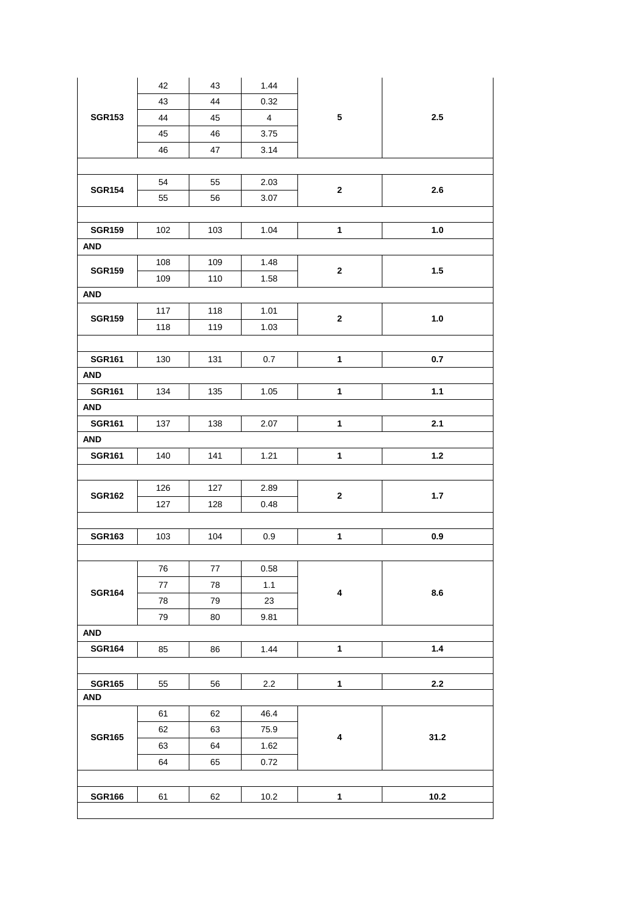| <b>SGR153</b> | 42  | 43         | 1.44           | ${\bf 5}$    |         |  |  |  |
|---------------|-----|------------|----------------|--------------|---------|--|--|--|
|               | 43  | 44         | 0.32           |              |         |  |  |  |
|               | 44  | 45         | $\overline{4}$ |              | 2.5     |  |  |  |
|               | 45  | 46         | 3.75           |              |         |  |  |  |
|               | 46  | 47         | 3.14           |              |         |  |  |  |
|               |     |            |                |              |         |  |  |  |
|               | 54  | 55         | 2.03           |              |         |  |  |  |
| <b>SGR154</b> | 55  | 56         | 3.07           | $\mathbf{2}$ | 2.6     |  |  |  |
|               |     |            |                |              |         |  |  |  |
| <b>SGR159</b> | 102 | 103        | 1.04           | $\mathbf{1}$ | $1.0$   |  |  |  |
| <b>AND</b>    |     |            |                |              |         |  |  |  |
| <b>SGR159</b> | 108 | 109        | 1.48           | $\mathbf{2}$ | 1.5     |  |  |  |
|               | 109 | 110        | 1.58           |              |         |  |  |  |
| <b>AND</b>    |     |            |                |              |         |  |  |  |
| <b>SGR159</b> | 117 | 118        | 1.01           | $\mathbf{2}$ | $1.0$   |  |  |  |
|               | 118 | 119        | 1.03           |              |         |  |  |  |
|               |     |            |                |              |         |  |  |  |
| <b>SGR161</b> | 130 | 131        | 0.7            | $\mathbf{1}$ | 0.7     |  |  |  |
| <b>AND</b>    |     |            |                |              |         |  |  |  |
| <b>SGR161</b> | 134 | 135        | 1.05           | $\mathbf{1}$ | $1.1$   |  |  |  |
| <b>AND</b>    |     |            |                |              |         |  |  |  |
| <b>SGR161</b> | 137 | 138        | 2.07           | $\mathbf{1}$ | 2.1     |  |  |  |
| AND           |     |            |                |              |         |  |  |  |
| <b>SGR161</b> | 140 | 141        | 1.21           | $\mathbf{1}$ | $1.2$   |  |  |  |
|               |     |            |                |              |         |  |  |  |
| <b>SGR162</b> | 126 | 127        | 2.89           | $\mathbf{2}$ | $1.7$   |  |  |  |
|               | 127 | 128        | 0.48           |              |         |  |  |  |
|               |     |            |                |              |         |  |  |  |
| <b>SGR163</b> | 103 | 104        | 0.9            | $\mathbf{1}$ | 0.9     |  |  |  |
|               |     |            |                |              |         |  |  |  |
|               | 76  | 77         | 0.58           | $\pmb{4}$    | 8.6     |  |  |  |
| <b>SGR164</b> | 77  | ${\bf 78}$ | 1.1            |              |         |  |  |  |
|               | 78  | 79         | 23             |              |         |  |  |  |
|               | 79  | 80         | 9.81           |              |         |  |  |  |
| <b>AND</b>    |     |            |                |              |         |  |  |  |
| <b>SGR164</b> | 85  | 86         | 1.44           | $\mathbf{1}$ | 1.4     |  |  |  |
|               |     |            |                |              |         |  |  |  |
| <b>SGR165</b> | 55  | 56         | $2.2\,$        | $\mathbf{1}$ | $2.2\,$ |  |  |  |
| <b>AND</b>    |     |            |                |              |         |  |  |  |
|               | 61  | 62         | 46.4           | $\pmb{4}$    |         |  |  |  |
| <b>SGR165</b> | 62  | 63         | 75.9           |              | 31.2    |  |  |  |
|               | 63  | 64         | 1.62           |              |         |  |  |  |
|               | 64  | 65         | 0.72           |              |         |  |  |  |
|               |     |            |                |              |         |  |  |  |
| <b>SGR166</b> |     | 62         |                | $\mathbf{1}$ | 10.2    |  |  |  |
|               | 61  |            | 10.2           |              |         |  |  |  |